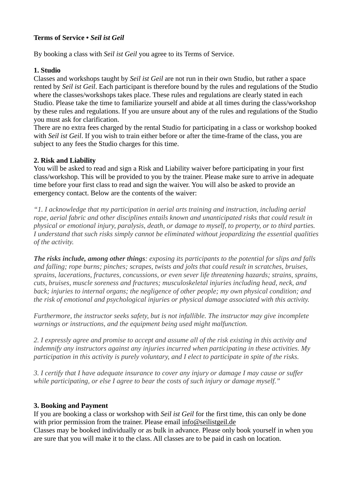# **Terms of Service •** *Seil ist Geil*

By booking a class with *Seil ist Geil* you agree to its Terms of Service.

#### **1. Studio**

Classes and workshops taught by *Seil ist Geil* are not run in their own Studio, but rather a space rented by *Seil ist Geil*. Each participant is therefore bound by the rules and regulations of the Studio where the classes/workshops takes place. These rules and regulations are clearly stated in each Studio. Please take the time to familiarize yourself and abide at all times during the class/workshop by these rules and regulations. If you are unsure about any of the rules and regulations of the Studio you must ask for clarification.

There are no extra fees charged by the rental Studio for participating in a class or workshop booked with *Seil ist Geil*. If you wish to train either before or after the time-frame of the class, you are subject to any fees the Studio charges for this time.

#### **2. Risk and Liability**

You will be asked to read and sign a Risk and Liability waiver before participating in your first class/workshop. This will be provided to you by the trainer. Please make sure to arrive in adequate time before your first class to read and sign the waiver. You will also be asked to provide an emergency contact. Below are the contents of the waiver:

*"1. I acknowledge that my participation in aerial arts training and instruction, including aerial rope, aerial fabric and other disciplines entails known and unanticipated risks that could result in physical or emotional injury, paralysis, death, or damage to myself, to property, or to third parties. I understand that such risks simply cannot be eliminated without jeopardizing the essential qualities of the activity.*

*The risks include, among other things: exposing its participants to the potential for slips and falls and falling; rope burns; pinches; scrapes, twists and jolts that could result in scratches, bruises, sprains, lacerations, fractures, concussions, or even sever life threatening hazards; strains, sprains, cuts, bruises, muscle soreness and fractures; musculoskeletal injuries including head, neck, and back; injuries to internal organs; the negligence of other people; my own physical condition; and the risk of emotional and psychological injuries or physical damage associated with this activity.*

*Furthermore, the instructor seeks safety, but is not infallible. The instructor may give incomplete warnings or instructions, and the equipment being used might malfunction.*

*2. I expressly agree and promise to accept and assume all of the risk existing in this activity and indemnify any instructors against any injuries incurred when participating in these activities. My participation in this activity is purely voluntary, and I elect to participate in spite of the risks.*

*3. I certify that I have adequate insurance to cover any injury or damage I may cause or suffer while participating, or else I agree to bear the costs of such injury or damage myself."*

### **3. Booking and Payment**

If you are booking a class or workshop with *Seil ist Geil* for the first time, this can only be done with prior permission from the trainer. Please email info@seilistgeil.de

Classes may be booked individually or as bulk in advance. Please only book yourself in when you are sure that you will make it to the class. All classes are to be paid in cash on location.